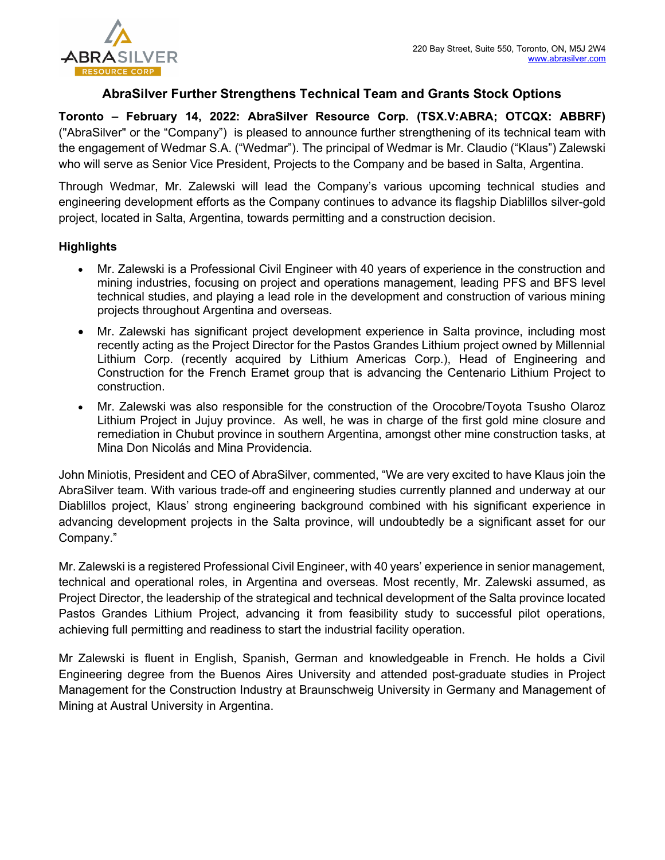

# AbraSilver Further Strengthens Technical Team and Grants Stock Options

Toronto – February 14, 2022: AbraSilver Resource Corp. (TSX.V:ABRA; OTCQX: ABBRF) ("AbraSilver" or the "Company") is pleased to announce further strengthening of its technical team with the engagement of Wedmar S.A. ("Wedmar"). The principal of Wedmar is Mr. Claudio ("Klaus") Zalewski who will serve as Senior Vice President, Projects to the Company and be based in Salta, Argentina.

Through Wedmar, Mr. Zalewski will lead the Company's various upcoming technical studies and engineering development efforts as the Company continues to advance its flagship Diablillos silver-gold project, located in Salta, Argentina, towards permitting and a construction decision.

## **Highlights**

- Mr. Zalewski is a Professional Civil Engineer with 40 years of experience in the construction and mining industries, focusing on project and operations management, leading PFS and BFS level technical studies, and playing a lead role in the development and construction of various mining projects throughout Argentina and overseas.
- Mr. Zalewski has significant project development experience in Salta province, including most recently acting as the Project Director for the Pastos Grandes Lithium project owned by Millennial Lithium Corp. (recently acquired by Lithium Americas Corp.), Head of Engineering and Construction for the French Eramet group that is advancing the Centenario Lithium Project to construction.
- Mr. Zalewski was also responsible for the construction of the Orocobre/Toyota Tsusho Olaroz Lithium Project in Jujuy province. As well, he was in charge of the first gold mine closure and remediation in Chubut province in southern Argentina, amongst other mine construction tasks, at Mina Don Nicolás and Mina Providencia.

John Miniotis, President and CEO of AbraSilver, commented, "We are very excited to have Klaus join the AbraSilver team. With various trade-off and engineering studies currently planned and underway at our Diablillos project, Klaus' strong engineering background combined with his significant experience in advancing development projects in the Salta province, will undoubtedly be a significant asset for our Company."

Mr. Zalewski is a registered Professional Civil Engineer, with 40 years' experience in senior management, technical and operational roles, in Argentina and overseas. Most recently, Mr. Zalewski assumed, as Project Director, the leadership of the strategical and technical development of the Salta province located Pastos Grandes Lithium Project, advancing it from feasibility study to successful pilot operations, achieving full permitting and readiness to start the industrial facility operation.

Mr Zalewski is fluent in English, Spanish, German and knowledgeable in French. He holds a Civil Engineering degree from the Buenos Aires University and attended post-graduate studies in Project Management for the Construction Industry at Braunschweig University in Germany and Management of Mining at Austral University in Argentina.